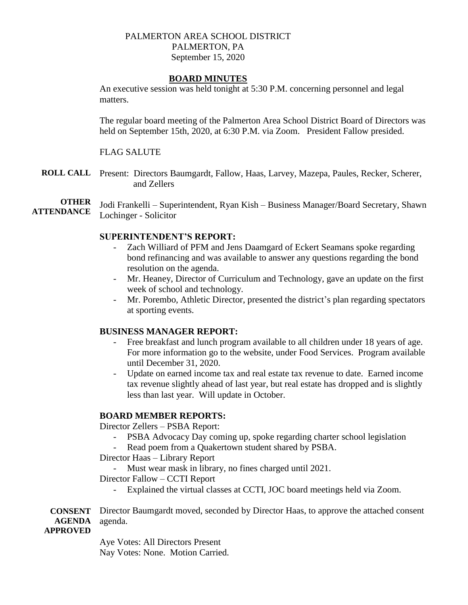## PALMERTON AREA SCHOOL DISTRICT PALMERTON, PA September 15, 2020

### **BOARD MINUTES**

An executive session was held tonight at 5:30 P.M. concerning personnel and legal matters.

The regular board meeting of the Palmerton Area School District Board of Directors was held on September 15th, 2020, at 6:30 P.M. via Zoom. President Fallow presided.

# FLAG SALUTE

**ROLL CALL** Present: Directors Baumgardt, Fallow, Haas, Larvey, Mazepa, Paules, Recker, Scherer, and Zellers

**OTHER ATTENDANCE** Jodi Frankelli – Superintendent, Ryan Kish – Business Manager/Board Secretary, Shawn Lochinger - Solicitor

### **SUPERINTENDENT'S REPORT:**

- Zach Williard of PFM and Jens Daamgard of Eckert Seamans spoke regarding bond refinancing and was available to answer any questions regarding the bond resolution on the agenda.
- Mr. Heaney, Director of Curriculum and Technology, gave an update on the first week of school and technology.
- Mr. Porembo, Athletic Director, presented the district's plan regarding spectators at sporting events.

### **BUSINESS MANAGER REPORT:**

- Free breakfast and lunch program available to all children under 18 years of age. For more information go to the website, under Food Services. Program available until December 31, 2020.
- Update on earned income tax and real estate tax revenue to date. Earned income tax revenue slightly ahead of last year, but real estate has dropped and is slightly less than last year. Will update in October.

### **BOARD MEMBER REPORTS:**

Director Zellers – PSBA Report:

- PSBA Advocacy Day coming up, spoke regarding charter school legislation
- Read poem from a Quakertown student shared by PSBA.

Director Haas – Library Report

- Must wear mask in library, no fines charged until 2021.

Director Fallow – CCTI Report

- Explained the virtual classes at CCTI, JOC board meetings held via Zoom.

**CONSENT AGENDA**  Director Baumgardt moved, seconded by Director Haas, to approve the attached consent agenda.

**APPROVED**

Aye Votes: All Directors Present Nay Votes: None. Motion Carried.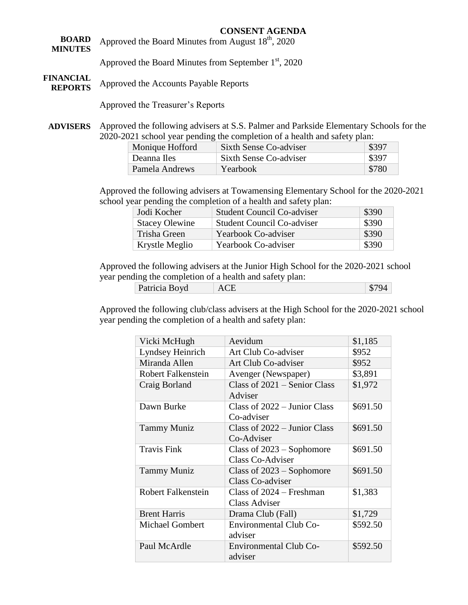#### **CONSENT AGENDA**

- **BOARD MINUTES FINANCIAL**  Approved the Board Minutes from August 18<sup>th</sup>, 2020 Approved the Board Minutes from September  $1<sup>st</sup>$ , 2020
- **REPORTS** Approved the Accounts Payable Reports

Approved the Treasurer's Reports

**ADVISERS** Approved the following advisers at S.S. Palmer and Parkside Elementary Schools for the 2020-2021 school year pending the completion of a health and safety plan:

| Monique Hofford | Sixth Sense Co-adviser | \$397 |
|-----------------|------------------------|-------|
| Deanna Iles     | Sixth Sense Co-adviser | \$397 |
| Pamela Andrews  | Yearbook               | \$780 |

Approved the following advisers at Towamensing Elementary School for the 2020-2021 school year pending the completion of a health and safety plan:

| Jodi Kocher           | <b>Student Council Co-adviser</b> | \$390 |
|-----------------------|-----------------------------------|-------|
| <b>Stacey Olewine</b> | <b>Student Council Co-adviser</b> | \$390 |
| Trisha Green          | Yearbook Co-adviser               | \$390 |
| Krystle Meglio        | Yearbook Co-adviser               | \$390 |

Approved the following advisers at the Junior High School for the 2020-2021 school year pending the completion of a health and safety plan:

| Patricia Boyd | $\cap$ T<br>ACE |  | 670/<br>$-14$<br>O. |
|---------------|-----------------|--|---------------------|
|---------------|-----------------|--|---------------------|

Approved the following club/class advisers at the High School for the 2020-2021 school year pending the completion of a health and safety plan:

| Vicki McHugh              | Aevidum                                            | \$1,185  |
|---------------------------|----------------------------------------------------|----------|
| Lyndsey Heinrich          | Art Club Co-adviser                                | \$952    |
| Miranda Allen             | Art Club Co-adviser                                | \$952    |
| <b>Robert Falkenstein</b> | Avenger (Newspaper)                                | \$3,891  |
| Craig Borland             | Class of $2021$ – Senior Class<br>Adviser          | \$1,972  |
| Dawn Burke                | Class of $2022 -$ Junior Class<br>Co-adviser       | \$691.50 |
| <b>Tammy Muniz</b>        | Class of 2022 – Junior Class<br>Co-Adviser         | \$691.50 |
| <b>Travis Fink</b>        | Class of $2023 -$ Sophomore<br>Class Co-Adviser    | \$691.50 |
| <b>Tammy Muniz</b>        | Class of $2023 -$ Sophomore<br>Class Co-adviser    | \$691.50 |
| <b>Robert Falkenstein</b> | Class of $2024$ – Freshman<br><b>Class Adviser</b> | \$1,383  |
| <b>Brent Harris</b>       | Drama Club (Fall)                                  | \$1,729  |
| <b>Michael Gombert</b>    | Environmental Club Co-<br>adviser                  | \$592.50 |
| Paul McArdle              | <b>Environmental Club Co-</b><br>adviser           | \$592.50 |